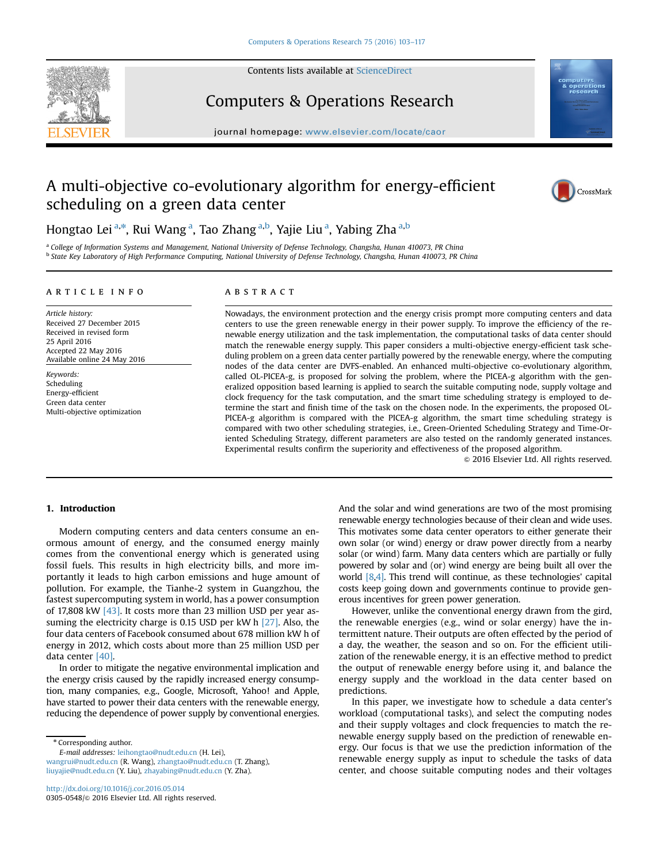

Contents lists available at [ScienceDirect](www.sciencedirect.com/science/journal/03050548)

# Computers & Operations Research

 $j$ 

# A multi-objective co-evolutionary algorithm for energy-efficient scheduling on a green data center



Hongtao Lei<sup>a,\*</sup>, Rui Wang<sup>a</sup>, Tao Zhang<sup>a,b</sup>, Yajie Liu<sup>a</sup>, Yabing Zha<sup>a,b</sup>

<sup>a</sup> College of Information Systems and Management, National University of Defense Technology, Changsha, Hunan 410073, PR China b State Key Laboratory of High Performance Computing, National University of Defense Technology, Changsha, Hunan 410073, PR China

### article info

Article history: Received 27 December 2015 Received in revised form 25 April 2016 Accepted 22 May 2016 Available online 24 May 2016

Keywords: Scheduling Energy-efficient Green data center Multi-objective optimization

## **ABSTRACT**

Nowadays, the environment protection and the energy crisis prompt more computing centers and data centers to use the green renewable energy in their power supply. To improve the efficiency of the renewable energy utilization and the task implementation, the computational tasks of data center should match the renewable energy supply. This paper considers a multi-objective energy-efficient task scheduling problem on a green data center partially powered by the renewable energy, where the computing nodes of the data center are DVFS-enabled. An enhanced multi-objective co-evolutionary algorithm, called OL-PICEA-g, is proposed for solving the problem, where the PICEA-g algorithm with the generalized opposition based learning is applied to search the suitable computing node, supply voltage and clock frequency for the task computation, and the smart time scheduling strategy is employed to determine the start and finish time of the task on the chosen node. In the experiments, the proposed OL-PICEA-g algorithm is compared with the PICEA-g algorithm, the smart time scheduling strategy is compared with two other scheduling strategies, i.e., Green-Oriented Scheduling Strategy and Time-Oriented Scheduling Strategy, different parameters are also tested on the randomly generated instances. Experimental results confirm the superiority and effectiveness of the proposed algorithm.

 $@$  2016 Elsevier Ltd. All rights reserved.

### 1. Introduction

Modern computing centers and data centers consume an enormous amount of energy, and the consumed energy mainly comes from the conventional energy which is generated using fossil fuels. This results in high electricity bills, and more importantly it leads to high carbon emissions and huge amount of pollution. For example, the Tianhe-2 system in Guangzhou, the fastest supercomputing system in world, has a power consumption of 17,808 kW [43]. It costs more than 23 million USD per year assuming the electricity charge is 0.15 USD per kW h [27]. Also, the four data centers of Facebook consumed about 678 million kW h of energy in 2012, which costs about more than 25 million USD per data center [40].

In order to mitigate the negative environmental implication and the energy crisis caused by the rapidly increased energy consumption, many companies, e.g., Google, Microsoft, Yahoo! and Apple, have started to power their data centers with the renewable energy, reducing the dependence of power supply by conventional energies.

\* Corresponding author.

E-mail addresses: [leihongtao@nudt.edu.cn](mailto:leihongtao@nudt.edu.cn) (H. Lei),

[wangrui@nudt.edu.cn](mailto:wangrui@nudt.edu.cn) (R. Wang), [zhangtao@nudt.edu.cn](mailto:zhangtao@nudt.edu.cn) (T. Zhang), [liuyajie@nudt.edu.cn](mailto:liuyajie@nudt.edu.cn) (Y. Liu), [zhayabing@nudt.edu.cn](mailto:zhayabing@nudt.edu.cn) (Y. Zha).

And the solar and wind generations are two of the most promising renewable energy technologies because of their clean and wide uses. This motivates some data center operators to either generate their own solar (or wind) energy or draw power directly from a nearby solar (or wind) farm. Many data centers which are partially or fully powered by solar and (or) wind energy are being built all over the world [8,4]. This trend will continue, as these technologies' capital costs keep going down and governments continue to provide generous incentives for green power generation.

However, unlike the conventional energy drawn from the gird, the renewable energies (e.g., wind or solar energy) have the intermittent nature. Their outputs are often effected by the period of a day, the weather, the season and so on. For the efficient utilization of the renewable energy, it is an effective method to predict the output of renewable energy before using it, and balance the energy supply and the workload in the data center based on predictions.

In this paper, we investigate how to schedule a data center's workload (computational tasks), and select the computing nodes and their supply voltages and clock frequencies to match the renewable energy supply based on the prediction of renewable energy. Our focus is that we use the prediction information of the renewable energy supply as input to schedule the tasks of data center, and choose suitable computing nodes and their voltages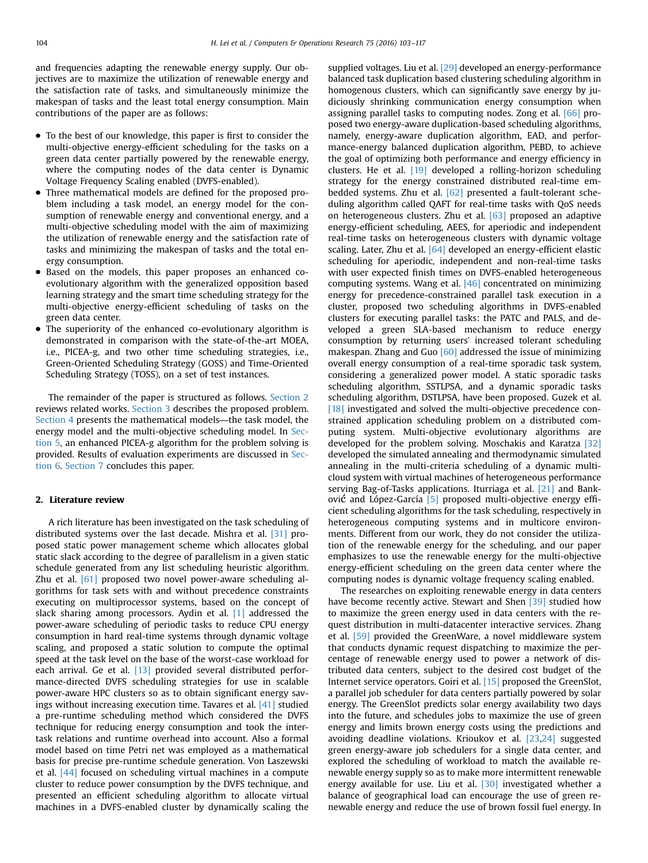and frequencies adapting the renewable energy supply. Our objectives are to maximize the utilization of renewable energy and the satisfaction rate of tasks, and simultaneously minimize the makespan of tasks and the least total energy consumption. Main contributions of the paper are as follows:

- To the best of our knowledge, this paper is first to consider the multi-objective energy-efficient scheduling for the tasks on a green data center partially powered by the renewable energy, where the computing nodes of the data center is Dynamic Voltage Frequency Scaling enabled (DVFS-enabled).
- Three mathematical models are defined for the proposed problem including a task model, an energy model for the consumption of renewable energy and conventional energy, and a multi-objective scheduling model with the aim of maximizing the utilization of renewable energy and the satisfaction rate of tasks and minimizing the makespan of tasks and the total energy consumption.
- Based on the models, this paper proposes an enhanced coevolutionary algorithm with the generalized opposition based learning strategy and the smart time scheduling strategy for the multi-objective energy-efficient scheduling of tasks on the green data center.
- The superiority of the enhanced co-evolutionary algorithm is demonstrated in comparison with the state-of-the-art MOEA, i.e., PICEA-g, and two other time scheduling strategies, i.e., Green-Oriented Scheduling Strategy (GOSS) and Time-Oriented Scheduling Strategy (TOSS), on a set of test instances.

The remainder of the paper is structured as follows. Section 2 reviews related works. Section 3 describes the proposed problem. Section 4 presents the mathematical models—the task model, the energy model and the multi-objective scheduling model. In Section 5, an enhanced PICEA-g algorithm for the problem solving is provided. Results of evaluation experiments are discussed in Section 6. Section 7 concludes this paper.

## 2. Literature review

A rich literature has been investigated on the task scheduling of distributed systems over the last decade. Mishra et al. [31] proposed static power management scheme which allocates global static slack according to the degree of parallelism in a given static schedule generated from any list scheduling heuristic algorithm. Zhu et al. [61] proposed two novel power-aware scheduling algorithms for task sets with and without precedence constraints executing on multiprocessor systems, based on the concept of slack sharing among processors. Aydin et al. [1] addressed the power-aware scheduling of periodic tasks to reduce CPU energy consumption in hard real-time systems through dynamic voltage scaling, and proposed a static solution to compute the optimal speed at the task level on the base of the worst-case workload for each arrival. Ge et al. [13] provided several distributed performance-directed DVFS scheduling strategies for use in scalable power-aware HPC clusters so as to obtain significant energy savings without increasing execution time. Tavares et al. [41] studied a pre-runtime scheduling method which considered the DVFS technique for reducing energy consumption and took the intertask relations and runtime overhead into account. Also a formal model based on time Petri net was employed as a mathematical basis for precise pre-runtime schedule generation. Von Laszewski et al. [44] focused on scheduling virtual machines in a compute cluster to reduce power consumption by the DVFS technique, and presented an efficient scheduling algorithm to allocate virtual machines in a DVFS-enabled cluster by dynamically scaling the supplied voltages. Liu et al. [29] developed an energy-performance balanced task duplication based clustering scheduling algorithm in homogenous clusters, which can significantly save energy by judiciously shrinking communication energy consumption when assigning parallel tasks to computing nodes. Zong et al. [66] proposed two energy-aware duplication-based scheduling algorithms, namely, energy-aware duplication algorithm, EAD, and performance-energy balanced duplication algorithm, PEBD, to achieve the goal of optimizing both performance and energy efficiency in clusters. He et al. [19] developed a rolling-horizon scheduling strategy for the energy constrained distributed real-time embedded systems. Zhu et al. [62] presented a fault-tolerant scheduling algorithm called QAFT for real-time tasks with QoS needs on heterogeneous clusters. Zhu et al. [63] proposed an adaptive energy-efficient scheduling, AEES, for aperiodic and independent real-time tasks on heterogeneous clusters with dynamic voltage scaling. Later, Zhu et al. [64] developed an energy-efficient elastic scheduling for aperiodic, independent and non-real-time tasks with user expected finish times on DVFS-enabled heterogeneous computing systems. Wang et al. [46] concentrated on minimizing energy for precedence-constrained parallel task execution in a cluster, proposed two scheduling algorithms in DVFS-enabled clusters for executing parallel tasks: the PATC and PALS, and developed a green SLA-based mechanism to reduce energy consumption by returning users' increased tolerant scheduling makespan. Zhang and Guo  $[60]$  addressed the issue of minimizing overall energy consumption of a real-time sporadic task system, considering a generalized power model. A static sporadic tasks scheduling algorithm, SSTLPSA, and a dynamic sporadic tasks scheduling algorithm, DSTLPSA, have been proposed. Guzek et al. [18] investigated and solved the multi-objective precedence constrained application scheduling problem on a distributed computing system. Multi-objective evolutionary algorithms are developed for the problem solving. Moschakis and Karatza [32] developed the simulated annealing and thermodynamic simulated annealing in the multi-criteria scheduling of a dynamic multicloud system with virtual machines of heterogeneous performance serving Bag-of-Tasks applications. Iturriaga et al. [21] and Banković and López-García [5] proposed multi-objective energy efficient scheduling algorithms for the task scheduling, respectively in heterogeneous computing systems and in multicore environments. Different from our work, they do not consider the utilization of the renewable energy for the scheduling, and our paper emphasizes to use the renewable energy for the multi-objective energy-efficient scheduling on the green data center where the computing nodes is dynamic voltage frequency scaling enabled.

The researches on exploiting renewable energy in data centers have become recently active. Stewart and Shen [39] studied how to maximize the green energy used in data centers with the request distribution in multi-datacenter interactive services. Zhang et al. [59] provided the GreenWare, a novel middleware system that conducts dynamic request dispatching to maximize the percentage of renewable energy used to power a network of distributed data centers, subject to the desired cost budget of the Internet service operators. Goiri et al. [15] proposed the GreenSlot, a parallel job scheduler for data centers partially powered by solar energy. The GreenSlot predicts solar energy availability two days into the future, and schedules jobs to maximize the use of green energy and limits brown energy costs using the predictions and avoiding deadline violations. Krioukov et al. [23,24] suggested green energy-aware job schedulers for a single data center, and explored the scheduling of workload to match the available renewable energy supply so as to make more intermittent renewable energy available for use. Liu et al.  $[30]$  investigated whether a balance of geographical load can encourage the use of green renewable energy and reduce the use of brown fossil fuel energy. In